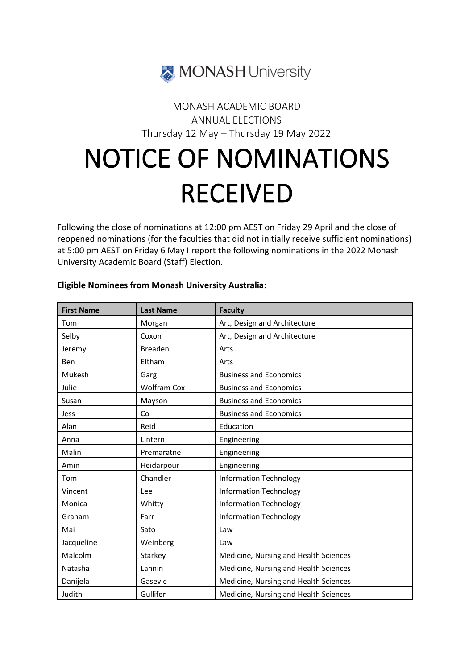

## MONASH ACADEMIC BOARD ANNUAL ELECTIONS Thursday 12 May – Thursday 19 May 2022

## NOTICE OF NOMINATIONS RECEIVED

Following the close of nominations at 12:00 pm AEST on Friday 29 April and the close of reopened nominations (for the faculties that did not initially receive sufficient nominations) at 5:00 pm AEST on Friday 6 May I report the following nominations in the 2022 Monash University Academic Board (Staff) Election.

| <b>First Name</b> | <b>Last Name</b>   | <b>Faculty</b>                        |
|-------------------|--------------------|---------------------------------------|
| Tom               | Morgan             | Art, Design and Architecture          |
| Selby             | Coxon              | Art, Design and Architecture          |
| Jeremy            | <b>Breaden</b>     | Arts                                  |
| Ben               | Eltham             | Arts                                  |
| Mukesh            | Garg               | <b>Business and Economics</b>         |
| Julie             | <b>Wolfram Cox</b> | <b>Business and Economics</b>         |
| Susan             | Mayson             | <b>Business and Economics</b>         |
| <b>Jess</b>       | Co                 | <b>Business and Economics</b>         |
| Alan              | Reid               | Education                             |
| Anna              | Lintern            | Engineering                           |
| Malin             | Premaratne         | Engineering                           |
| Amin              | Heidarpour         | Engineering                           |
| Tom               | Chandler           | <b>Information Technology</b>         |
| Vincent           | <b>Lee</b>         | <b>Information Technology</b>         |
| Monica            | Whitty             | <b>Information Technology</b>         |
| Graham            | Farr               | <b>Information Technology</b>         |
| Mai               | Sato               | Law                                   |
| Jacqueline        | Weinberg           | Law                                   |
| Malcolm           | Starkey            | Medicine, Nursing and Health Sciences |
| Natasha           | Lannin             | Medicine, Nursing and Health Sciences |
| Danijela          | Gasevic            | Medicine, Nursing and Health Sciences |
| Judith            | Gullifer           | Medicine, Nursing and Health Sciences |

## **Eligible Nominees from Monash University Australia:**